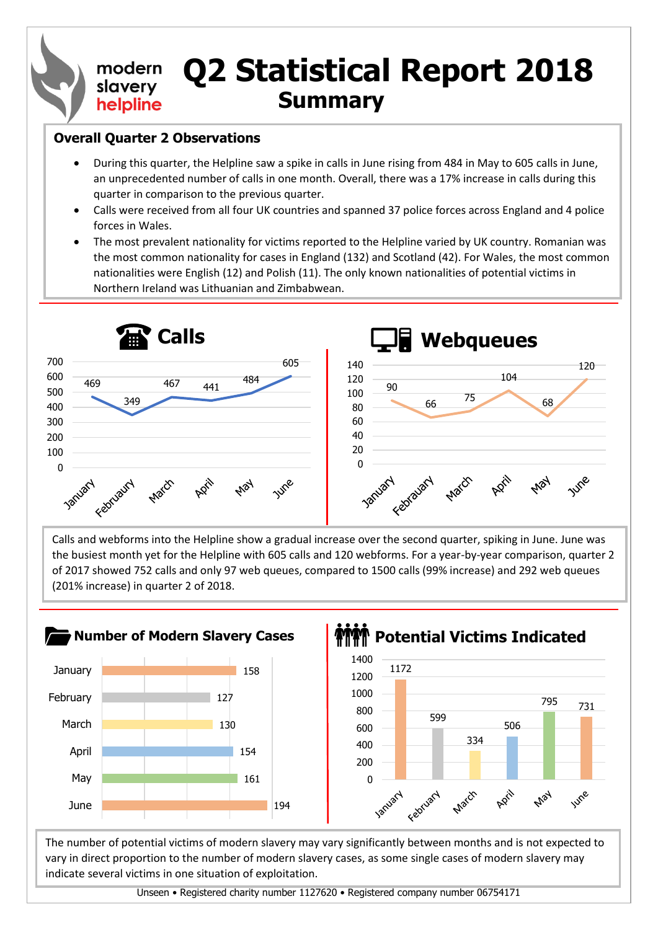#### **Q2 Statistical Report 2018** modern slavery **Summary** helpline

#### **Overall Quarter 2 Observations**

- During this quarter, the Helpline saw a spike in calls in June rising from 484 in May to 605 calls in June, an unprecedented number of calls in one month. Overall, there was a 17% increase in calls during this quarter in comparison to the previous quarter.
- Calls were received from all four UK countries and spanned 37 police forces across England and 4 police forces in Wales.
- The most prevalent nationality for victims reported to the Helpline varied by UK country. Romanian was the most common nationality for cases in England (132) and Scotland (42). For Wales, the most common nationalities were English (12) and Polish (11). The only known nationalities of potential victims in Northern Ireland was Lithuanian and Zimbabwean.



Calls and webforms into the Helpline show a gradual increase over the second quarter, spiking in June. June was the busiest month yet for the Helpline with 605 calls and 120 webforms. For a year-by-year comparison, quarter 2 of 2017 showed 752 calls and only 97 web queues, compared to 1500 calls (99% increase) and 292 web queues (201% increase) in quarter 2 of 2018.



### **PORT Potential Victims Indicated**



The number of potential victims of modern slavery may vary significantly between months and is not expected to vary in direct proportion to the number of modern slavery cases, as some single cases of modern slavery may indicate several victims in one situation of exploitation.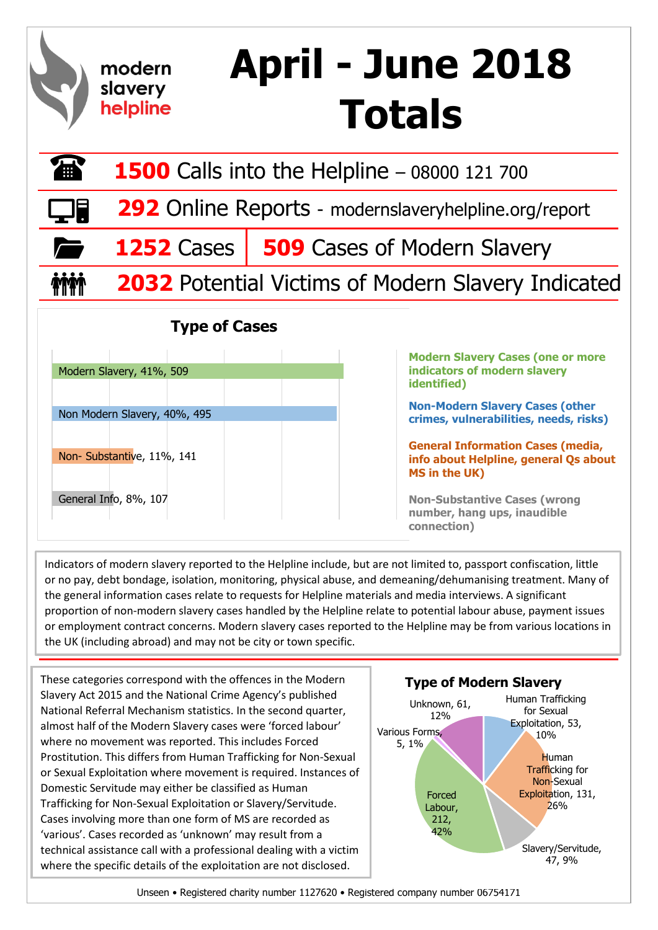### **April - June 2018**  modern slavery **Totals** helpline

| 働          | <b>1500</b> Calls into the Helpline - 08000 121 700       |                                                 |  |  |  |  |  |  |  |  |  |  |
|------------|-----------------------------------------------------------|-------------------------------------------------|--|--|--|--|--|--|--|--|--|--|
| $\Box$     | 292 Online Reports - modernslaveryhelpline.org/report     |                                                 |  |  |  |  |  |  |  |  |  |  |
| $\sqrt{2}$ |                                                           | <b>1252</b> Cases   509 Cases of Modern Slavery |  |  |  |  |  |  |  |  |  |  |
| <b>MM</b>  | <b>2032</b> Potential Victims of Modern Slavery Indicated |                                                 |  |  |  |  |  |  |  |  |  |  |

#### **Type of Cases**

| Modern Slavery, 41%, 509     |  |  |
|------------------------------|--|--|
|                              |  |  |
| Non Modern Slavery, 40%, 495 |  |  |
|                              |  |  |
|                              |  |  |
| Non- Substantive, 11%, 141   |  |  |
|                              |  |  |
| General Info, 8%, 107        |  |  |
|                              |  |  |

**Modern Slavery Cases (one or more indicators of modern slavery identified)**

**Non-Modern Slavery Cases (other crimes, vulnerabilities, needs, risks)**

**General Information Cases (media, info about Helpline, general Qs about MS in the UK)**

**Non-Substantive Cases (wrong number, hang ups, inaudible connection)**

Indicators of modern slavery reported to the Helpline include, but are not limited to, passport confiscation, little or no pay, debt bondage, isolation, monitoring, physical abuse, and demeaning/dehumanising treatment. Many of the general information cases relate to requests for Helpline materials and media interviews. A significant proportion of non-modern slavery cases handled by the Helpline relate to potential labour abuse, payment issues or employment contract concerns. Modern slavery cases reported to the Helpline may be from various locations in the UK (including abroad) and may not be city or town specific.

These categories correspond with the offences in the Modern **Type of Modern Slavery** Slavery Act 2015 and the National Crime Agency's published National Referral Mechanism statistics. In the second quarter, almost half of the Modern Slavery cases were 'forced labour' where no movement was reported. This includes Forced Prostitution. This differs from Human Trafficking for Non-Sexual or Sexual Exploitation where movement is required. Instances of Domestic Servitude may either be classified as Human Trafficking for Non-Sexual Exploitation or Slavery/Servitude. Cases involving more than one form of MS are recorded as 'various'. Cases recorded as 'unknown' may result from a technical assistance call with a professional dealing with a victim where the specific details of the exploitation are not disclosed.

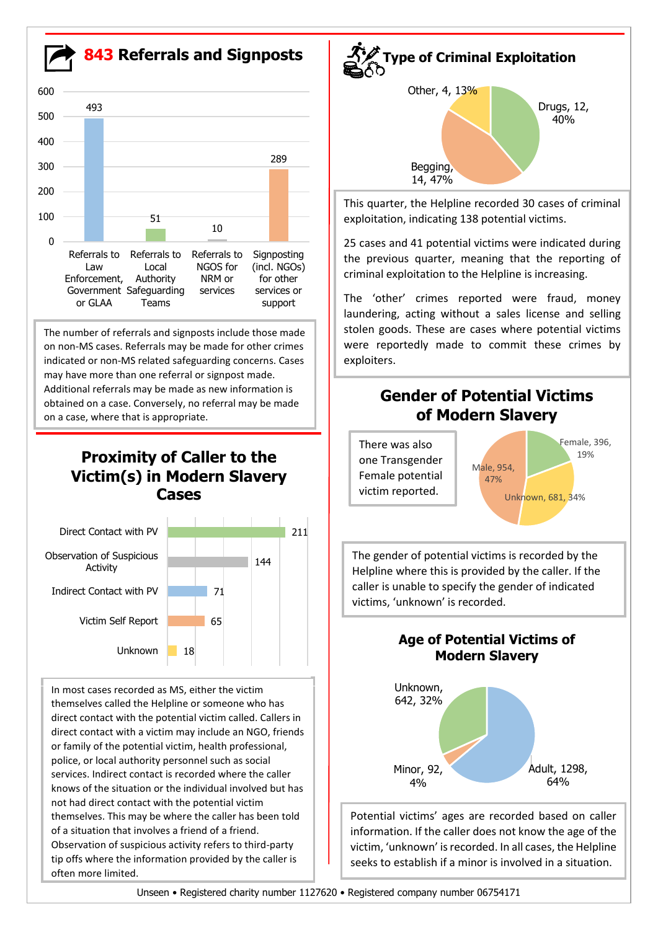**843 Referrals and Signposts** The number of referrals and signposts include those made on non-MS cases. Referrals may be made for other crimes indicated or non-MS related safeguarding concerns. Cases may have more than one referral or signpost made. Additional referrals may be made as new information is obtained on a case. Conversely, no referral may be made on a case, where that is appropriate. **Proximity of Caller to the Victim(s) in Modern Slavery Cases** Female, 396, 19% Unknown, 681, 34% Male, 954, 47% **Gender of Potential Victims of Modern Slavery** There was also one Transgender Female potential victim reported. Drugs, 12, 40% Begging, 14, 47% Other, 4, 13% **Type of Criminal Exploitation** This quarter, the Helpline recorded 30 cases of criminal exploitation, indicating 138 potential victims. 25 cases and 41 potential victims were indicated during the previous quarter, meaning that the reporting of criminal exploitation to the Helpline is increasing. The 'other' crimes reported were fraud, money laundering, acting without a sales license and selling stolen goods. These are cases where potential victims were reportedly made to commit these crimes by exploiters. 493 51 10 289 0 100 200 300 400 500 600 Referrals to Law Enforcement, Government Safeguarding or GLAA Referrals to Local Authority Teams Referrals to NGOS for NRM or services Signposting (incl. NGOs) for other services or support



In most cases recorded as MS, either the victim themselves called the Helpline or someone who has direct contact with the potential victim called. Callers in direct contact with a victim may include an NGO, friends or family of the potential victim, health professional, police, or local authority personnel such as social services. Indirect contact is recorded where the caller knows of the situation or the individual involved but has not had direct contact with the potential victim themselves. This may be where the caller has been told of a situation that involves a friend of a friend. Observation of suspicious activity refers to third-party tip offs where the information provided by the caller is often more limited.

The gender of potential victims is recorded by the Helpline where this is provided by the caller. If the caller is unable to specify the gender of indicated victims, 'unknown' is recorded.

**Age of Potential Victims of** 



Potential victims' ages are recorded based on caller information. If the caller does not know the age of the victim, 'unknown' is recorded. In all cases, the Helpline seeks to establish if a minor is involved in a situation.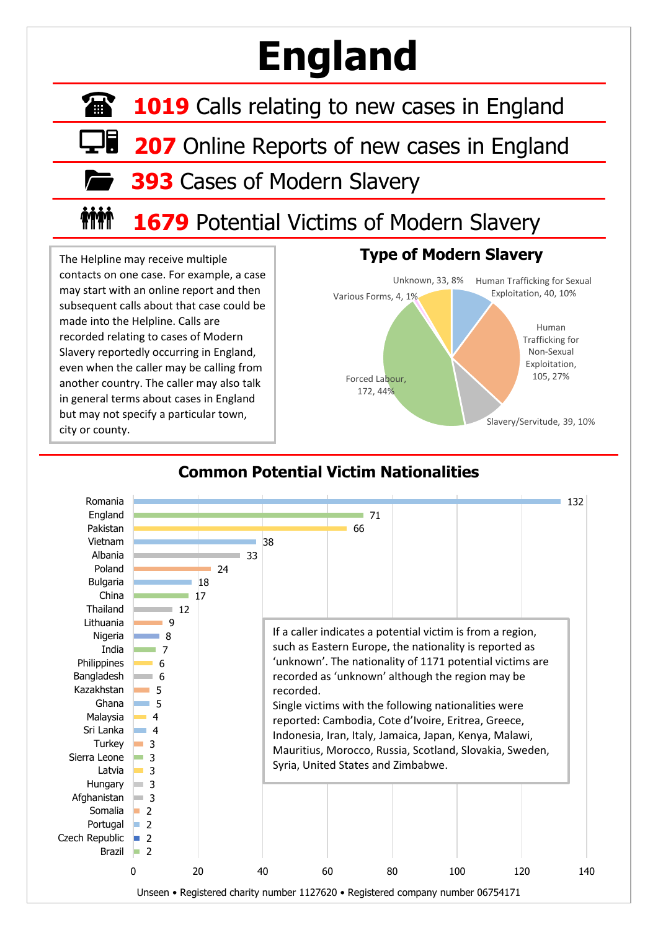# **England**

**1019** Calls relating to new cases in England

**207** Online Reports of new cases in England

**393** Cases of Modern Slavery

#### **inin 1679** Potential Victims of Modern Slavery

The Helpline may receive multiple contacts on one case. For example, a case may start with an online report and then subsequent calls about that case could be made into the Helpline. Calls are recorded relating to cases of Modern Slavery reportedly occurring in England, even when the caller may be calling from another country. The caller may also talk in general terms about cases in England but may not specify a particular town, city or county.





#### **Common Potential Victim Nationalities**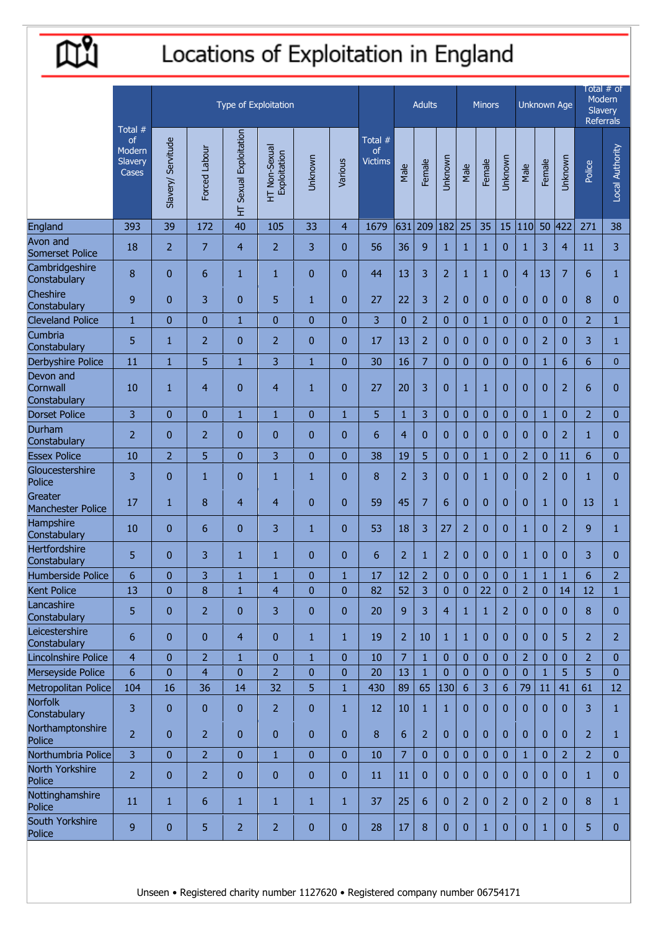```
昆
```
## Locations of Exploitation in England

|                                       |                                               |                    |                |                        | Type of Exploitation          |                |                |                                 |                | <b>Adults</b>      |                |                 | <b>Minors</b>       |                |                | Unknown Age        | Total # of<br>Modern<br>Slavery<br>Referrals |                |                 |
|---------------------------------------|-----------------------------------------------|--------------------|----------------|------------------------|-------------------------------|----------------|----------------|---------------------------------|----------------|--------------------|----------------|-----------------|---------------------|----------------|----------------|--------------------|----------------------------------------------|----------------|-----------------|
|                                       | Total $#$<br>of<br>Modern<br>Slavery<br>Cases | Slavery/ Servitude | Forced Labour  | HT Sexual Exploitation | HT Non-Sexual<br>Exploitation | Unknown        | Various        | Total #<br>of<br><b>Victims</b> | Male           | Female             | Unknown        | Male            | Female              | Unknown        | Male           | Female             | Unknown                                      | Police         | Local Authority |
| England                               | 393                                           | 39                 | 172            | 40                     | 105                           | 33             | $\overline{4}$ | 1679                            | 631            | 209                | 182            | 25              | 35                  | 15             | 110            | 50                 | 422                                          | 271            | 38              |
| Avon and<br><b>Somerset Police</b>    | 18                                            | $\overline{2}$     | 7              | $\overline{4}$         | 2                             | 3              | $\mathbf{0}$   | 56                              | 36             | 9                  | $\mathbf{1}$   | $\mathbf{1}$    | $\mathbf{1}$        | $\mathbf{0}$   | 1              | 3                  | 4                                            | 11             | 3               |
| Cambridgeshire<br>Constabulary        | 8                                             | $\mathbf{0}$       | 6              | $\mathbf{1}$           | $\mathbf{1}$                  | $\overline{0}$ | $\mathbf{0}$   | 44                              | 13             | 3                  | $\overline{2}$ | $\mathbf{1}$    | 1                   | $\mathbf{0}$   | 4              | 13                 | 7                                            | 6              | $\mathbf{1}$    |
| Cheshire<br>Constabulary              | 9                                             | $\mathbf{0}$       | 3              | $\mathbf{0}$           | 5                             | $\mathbf{1}$   | $\mathbf{0}$   | 27                              | 22             | 3                  | $\overline{2}$ | $\overline{0}$  | $\mathbf{0}$        | $\mathbf{0}$   | $\mathbf{0}$   | $\mathbf{0}$       | $\mathbf{0}$                                 | 8              | $\overline{0}$  |
| <b>Cleveland Police</b>               | $\mathbf{1}$                                  | $\mathbf{0}$       | $\bf{0}$       | $\mathbf{1}$           | $\overline{0}$                | $\overline{0}$ | $\mathbf{0}$   | 3                               | $\mathbf{0}$   | $\overline{2}$     | $\bf{0}$       | $\overline{0}$  | 1                   | $\overline{0}$ | $\overline{0}$ | $\mathbf{0}$       | $\mathbf{0}$                                 | $\overline{2}$ | $\mathbf{1}$    |
| Cumbria<br>Constabulary               | 5                                             | 1                  | $\overline{2}$ | $\mathbf{0}$           | $\overline{2}$                | $\mathbf{0}$   | $\mathbf{0}$   | 17                              | 13             | 2                  | $\mathbf{0}$   | $\bf{0}$        | 0                   | $\mathbf{0}$   | $\mathbf{0}$   | $\overline{2}$     | $\mathbf{0}$                                 | 3              | $\mathbf{1}$    |
| <b>Derbyshire Police</b>              | 11                                            | $\mathbf{1}$       | 5              | $\mathbf{1}$           | 3                             | $\mathbf{1}$   | $\overline{0}$ | 30                              | 16             | 7                  | $\mathbf{0}$   | $\bf{0}$        | $\mathbf{0}$        | $\mathbf{0}$   | $\mathbf{0}$   | $\mathbf{1}$       | 6                                            | 6              | $\overline{0}$  |
| Devon and<br>Cornwall<br>Constabulary | 10                                            | $\mathbf{1}$       | $\overline{4}$ | $\mathbf{0}$           | $\overline{4}$                | $\mathbf{1}$   | $\overline{0}$ | 27                              | 20             | 3                  | $\bf{0}$       | 1               | 1                   | $\overline{0}$ | $\mathbf{0}$   | $\mathbf{0}$       | $\overline{2}$                               | 6              | 0               |
| <b>Dorset Police</b>                  | 3                                             | $\mathbf{0}$       | 0              | $\mathbf{1}$           | $\mathbf{1}$                  | $\overline{0}$ | $\mathbf{1}$   | 5                               | $\mathbf{1}$   | 3                  | $\mathbf{0}$   | $\mathbf{0}$    | $\mathbf{0}$        | $\mathbf{0}$   | $\mathbf{0}$   | $\mathbf{1}$       | $\mathbf{0}$                                 | $\overline{2}$ | $\mathbf{0}$    |
| Durham<br>Constabulary                | $\overline{2}$                                | $\mathbf{0}$       | 2              | $\bf{0}$               | $\mathbf{0}$                  | $\mathbf{0}$   | $\mathbf{0}$   | 6                               | $\overline{4}$ | $\mathbf{0}$       | $\pmb{0}$      | $\bf{0}$        | $\mathbf{0}$        | $\mathbf{0}$   | $\mathbf{0}$   | $\mathbf{0}$       | $\overline{2}$                               | 1              | 0               |
| <b>Essex Police</b>                   | 10                                            | $\overline{2}$     | 5              | $\bf{0}$               | 3                             | $\overline{0}$ | $\overline{0}$ | 38                              | 19             | 5                  | $\bf{0}$       | $\overline{0}$  | $\mathbf{1}$        | $\overline{0}$ | $\overline{2}$ | $\mathbf{0}$       | 11                                           | 6              | $\overline{0}$  |
| Gloucestershire<br>Police             | 3                                             | $\mathbf{0}$       | $\mathbf{1}$   | $\mathbf{0}$           | $\mathbf{1}$                  | $\mathbf{1}$   | $\mathbf{0}$   | 8                               | $\overline{2}$ | 3                  | $\mathbf{0}$   | $\overline{0}$  | $\mathbf{1}$        | $\mathbf{0}$   | $\mathbf{0}$   | $\overline{2}$     | $\mathbf{0}$                                 | $\mathbf{1}$   | 0               |
| Greater<br>Manchester Police          | 17                                            | $\mathbf{1}$       | 8              | $\overline{4}$         | 4                             | $\overline{0}$ | $\overline{0}$ | 59                              | 45             | 7                  | $6\,$          | $\overline{0}$  | $\mathbf{0}$        | $\mathbf{0}$   | $\mathbf{0}$   | $\mathbf{1}$       | $\mathbf{0}$                                 | 13             | $\mathbf{1}$    |
| Hampshire<br>Constabulary             | 10                                            | $\mathbf{0}$       | 6              | $\mathbf{0}$           | 3                             | $\mathbf{1}$   | $\mathbf{0}$   | 53                              | 18             | 3                  | 27             | $\overline{2}$  | $\mathbf{0}$        | $\mathbf{0}$   | 1              | $\mathbf{0}$       | $\overline{2}$                               | 9              | $\mathbf{1}$    |
| <b>Hertfordshire</b><br>Constabulary  | 5                                             | $\mathbf{0}$       | 3              | 1                      | 1                             | $\overline{0}$ | $\mathbf{0}$   | 6                               | $\overline{2}$ | 1                  | $\overline{2}$ | $\overline{0}$  | 0                   | $\mathbf{0}$   | 1              | $\mathbf{0}$       | $\mathbf{0}$                                 | 3              | $\overline{0}$  |
| Humberside Police                     | 6                                             | $\boldsymbol{0}$   | 3              | $\mathbf{1}$           | $\mathbf{1}$                  | $\bf{0}$       | $\mathbf{1}$   | 17                              | 12             | $\overline{2}$     | $\pmb{0}$      | $\pmb{0}$       | $\pmb{0}$           | $\pmb{0}$      | $\mathbf{1}$   | $\mathbf{1}$       | $\mathbf 1$                                  | 6              | $\overline{2}$  |
| <b>Kent Police</b>                    | 13                                            | $\mathbf{0}$       | 8              | $\mathbf{1}$           | 4                             | $\overline{0}$ | $\overline{0}$ | 82                              | 52             | 3                  | $\mathbf{0}$   | $\overline{0}$  | 22                  | $\overline{0}$ | $\overline{2}$ | $\mathbf{0}$       | 14                                           | 12             | $\mathbf{1}$    |
| Lancashire<br>Constabulary            | 5                                             | $\mathbf{0}$       | $\overline{2}$ | $\mathbf{0}$           | 3                             | $\mathbf{0}$   | $\overline{0}$ | 20                              | $\overline{9}$ | 3                  | $\overline{4}$ | 1               | $\mathbf{1}$        | $\overline{2}$ | $\mathbf{0}$   | $\mathbf{0}$       | $\mathbf{0}$                                 | 8              | $\overline{0}$  |
| Leicestershire<br>Constabulary        | 6                                             | $\mathbf{0}$       | 0              | $\overline{4}$         | $\mathbf{0}$                  | $\mathbf{1}$   | 1              | 19                              | $\overline{2}$ | 10                 | $\mathbf{1}$   | 1               | $\mathbf{0}$        | $\mathbf{0}$   | $\mathbf{0}$   | $\mathbf{0}$       | 5                                            | $\overline{2}$ | $\overline{2}$  |
| <b>Lincolnshire Police</b>            | 4                                             | $\mathbf{0}$       | 2              | 1                      | 0                             | $\mathbf{1}$   | $\mathbf{0}$   | 10                              | 7              | $\mathbf{1}$       | $\mathbf{0}$   | $\mathbf{0}$    | $\overline{0}$      | $\mathbf{0}$   | 2              | $\mathbf{0}$       | $\mathbf{0}$                                 | $\overline{2}$ | $\overline{0}$  |
| Merseyside Police                     | 6                                             | $\mathbf{0}$       | $\overline{4}$ | $\bf{0}$               | $\overline{2}$                | $\overline{0}$ | $\mathbf{0}$   | 20                              | 13             | $\mathbf{1}$<br>65 | $\mathbf{0}$   | $\overline{0}$  | 0<br>$\overline{3}$ | $\mathbf{0}$   | $\mathbf{0}$   | $\mathbf{1}$<br>11 | 5                                            | 5              | $\mathbf{0}$    |
| Metropolitan Police<br>Norfolk        | 104                                           | 16                 | 36             | 14                     | 32                            | 5              | $\mathbf{1}$   | 430                             | 89             |                    | 130            | $6\phantom{1}6$ |                     | $6\phantom{1}$ | 79             |                    | 41                                           | 61             | 12              |
| Constabulary                          | 3                                             | $\mathbf{0}$       | $\bf{0}$       | $\mathbf{0}$           | $\overline{2}$                | $\mathbf{0}$   | $\mathbf{1}$   | 12                              | 10             | 1                  | $\mathbf{1}$   | $\mathbf{0}$    | $\mathbf{0}$        | $\mathbf{0}$   | $\mathbf{0}$   | $\mathbf{0}$       | $\mathbf{0}$                                 | 3              | $\mathbf{1}$    |
| Northamptonshire<br>Police            | $\overline{2}$                                | $\mathbf{0}$       | $\overline{2}$ | $\mathbf{0}$           | $\mathbf{0}$                  | $\mathbf{0}$   | $\overline{0}$ | 8                               | $6\phantom{1}$ | $\overline{2}$     | $\mathbf{0}$   | $\overline{0}$  | $\mathbf{0}$        | $\mathbf{0}$   | $\mathbf{0}$   | $\mathbf{0}$       | $\mathbf{0}$                                 | $\overline{2}$ | $\mathbf{1}$    |
| Northumbria Police                    | 3                                             | $\mathbf{0}$       | $\overline{2}$ | $\mathbf{0}$           | $\mathbf{1}$                  | $\mathbf{0}$   | $\overline{0}$ | 10                              | $\overline{7}$ | $\mathbf{0}$       | $\mathbf{0}$   | $\mathbf{0}$    | $\mathbf{0}$        | $\mathbf{0}$   | $\mathbf{1}$   | $\mathbf{0}$       | $\overline{2}$                               | $\overline{2}$ | $\mathbf{0}$    |
| North Yorkshire<br>Police             | $\overline{2}$                                | $\pmb{0}$          | 2              | $\mathbf{0}$           | $\mathbf{0}$                  | $\mathbf{0}$   | $\mathbf{0}$   | 11                              | 11             | $\mathbf{0}$       | $\mathbf{0}$   | $\overline{0}$  | $\mathbf{0}$        | $\mathbf{0}$   | $\mathbf{0}$   | $\mathbf{0}$       | $\mathbf{0}$                                 | $\mathbf{1}$   | $\mathbf{0}$    |
| Nottinghamshire<br>Police             | 11                                            | $\mathbf{1}$       | 6              | $\mathbf{1}$           | 1                             | $\mathbf{1}$   | 1              | 37                              | 25             | 6                  | $\pmb{0}$      | $\overline{2}$  | $\mathbf{0}$        | $\overline{2}$ | $\mathbf{0}$   | $\overline{2}$     | $\mathbf{0}$                                 | 8              | $\mathbf{1}$    |
| South Yorkshire<br>Police             | 9                                             | $\pmb{0}$          | 5              | $\overline{2}$         | 2                             | 0              | $\mathbf{0}$   | 28                              | 17             | 8                  | $\pmb{0}$      | $\mathbf{0}$    | $\mathbf{1}$        | $\mathbf{0}$   | $\mathbf{0}$   | $\mathbf{1}$       | $\mathbf{0}$                                 | 5              | $\mathbf{0}$    |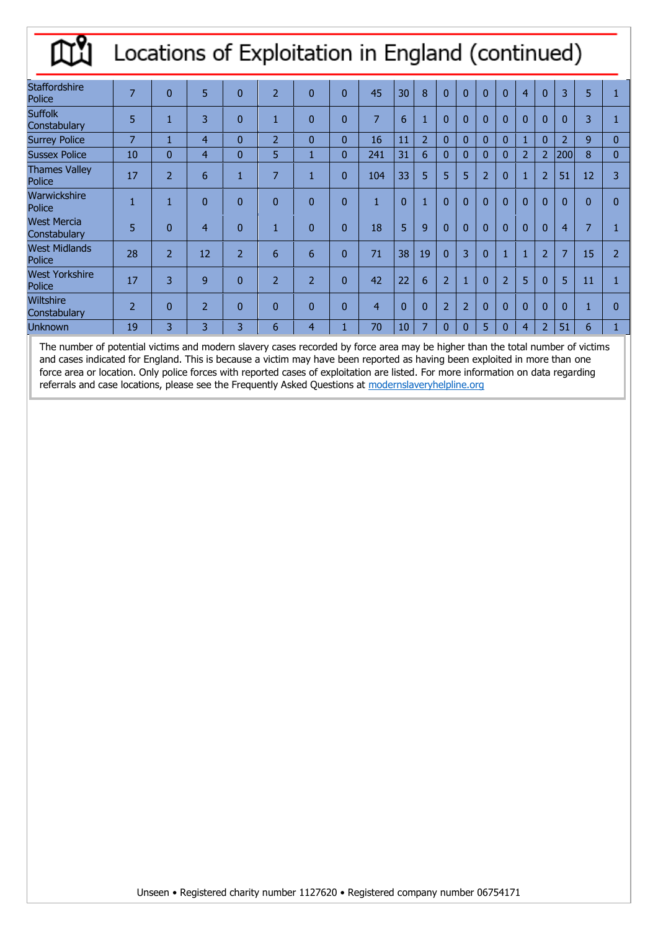#### Locations of Exploitation in England (continued) Щ

| <b>Staffordshire</b><br>Police     | 7              | $\Omega$       | 5              | $\overline{0}$ | $\overline{2}$ | $\Omega$       | $\overline{0}$ | 45             | 30 | 8              | $\Omega$       | $\Omega$       |                | $\overline{0}$ | $\overline{4}$ | $\Omega$       | 3              | 5              |                |
|------------------------------------|----------------|----------------|----------------|----------------|----------------|----------------|----------------|----------------|----|----------------|----------------|----------------|----------------|----------------|----------------|----------------|----------------|----------------|----------------|
| <b>Suffolk</b><br>Constabulary     | 5              | 1              | 3              | $\mathbf{0}$   | 1              | $\Omega$       | $\overline{0}$ | $\overline{7}$ | 6  | и              | $\overline{0}$ | $\Omega$       |                | $\Omega$       |                | $\Omega$       | $\overline{0}$ | 3              |                |
| <b>Surrey Police</b>               | 7              | Ш              | 4              | $\Omega$       | $\overline{2}$ | $\Omega$       | $\mathbf{0}$   | 16             | 11 | $\overline{2}$ | 0              | $\Omega$       |                | $\Omega$       |                | $\Omega$       | $\overline{2}$ | 9              | $\Omega$       |
| <b>Sussex Police</b>               | 10             | $\overline{0}$ | 4              | $\overline{0}$ | 5              |                | $\mathbf{0}$   | 241            | 31 | 6              | 0              | $\mathbf{0}$   | $\Omega$       | $\Omega$       | $\overline{2}$ | $\overline{2}$ | 200            | 8              | $\mathbf{0}$   |
| <b>Thames Valley</b><br>Police     | 17             | $\overline{2}$ | 6              | и<br>ш         | $\overline{7}$ |                | $\overline{0}$ | 104            | 33 | 5              | 5              | 5              | $\overline{2}$ | $\overline{0}$ |                | $\overline{2}$ | 51             | 12             | 3              |
| Warwickshire<br>Police             |                |                | $\overline{0}$ | $\mathbf{0}$   | $\overline{0}$ | $\overline{0}$ | $\overline{0}$ | $\mathbf{1}$   | 0  | 1              | $\Omega$       | $\Omega$       |                | $\overline{0}$ | $\overline{0}$ | $\overline{0}$ | $\overline{0}$ | $\overline{0}$ | $\Omega$       |
| <b>West Mercia</b><br>Constabulary | 5              | $\overline{0}$ | 4              | $\mathbf{0}$   | и<br>ш         | $\Omega$       | $\overline{0}$ | 18             | 5  | $\mathbf{q}$   | $\overline{0}$ | $\Omega$       |                | $\Omega$       | $\Omega$       | $\overline{0}$ | 4              | 7              |                |
| <b>West Midlands</b><br>Police     | 28             | $\overline{2}$ | 12             | $\overline{2}$ | 6              | 6              | $\mathbf{0}$   | 71             | 38 | 19             | $\overline{0}$ | 3              |                | $\mathbf{1}$   |                | $\overline{2}$ | 7              | 15             | $\overline{2}$ |
| <b>West Yorkshire</b><br>Police    | 17             | 3              | 9              | $\overline{0}$ | $\overline{2}$ | $\overline{2}$ | $\mathbf{0}$   | 42             | 22 | 6              | $\overline{2}$ | 1              |                | $\overline{2}$ | 5              | $\overline{0}$ | 5              | 11             |                |
| <b>Wiltshire</b><br>Constabulary   | $\overline{2}$ | $\overline{0}$ | $\overline{2}$ | $\overline{0}$ | $\overline{0}$ | $\overline{0}$ | $\overline{0}$ | $\overline{4}$ | 0  | $\overline{0}$ | $\overline{2}$ | $\overline{2}$ |                | $\overline{0}$ | $\overline{0}$ | $\overline{0}$ | $\overline{0}$ | 1              | $\Omega$       |
| <b>Unknown</b>                     | 19             | 3              | 3              | 3              | 6              | 4              |                | 70             | 10 | 7              | 0              | $\overline{0}$ | 5              | 0              | 4              | $\overline{2}$ | 51             | 6              |                |

The number of potential victims and modern slavery cases recorded by force area may be higher than the total number of victims and cases indicated for England. This is because a victim may have been reported as having been exploited in more than one force area or location. Only police forces with reported cases of exploitation are listed. For more information on data regarding referrals and case locations, please see the Frequently Asked Questions at modernslaveryhelpline.org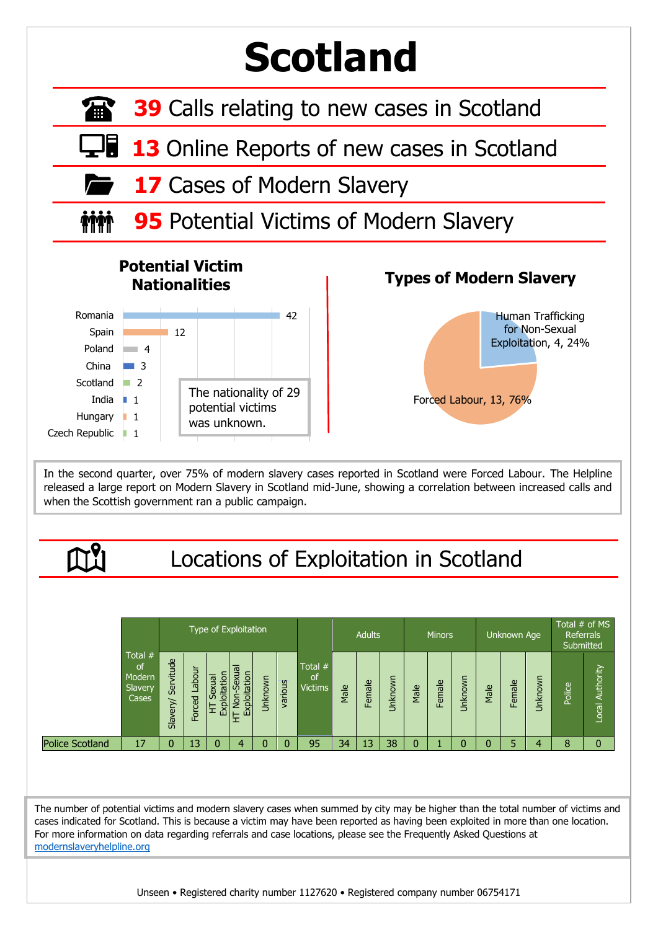## **Scotland**

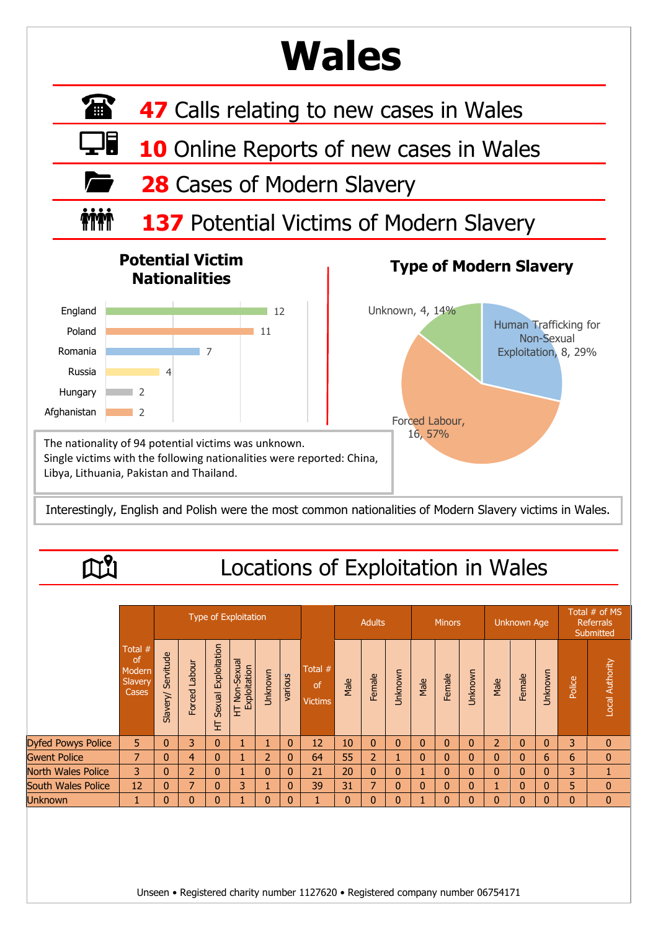## **Wales**

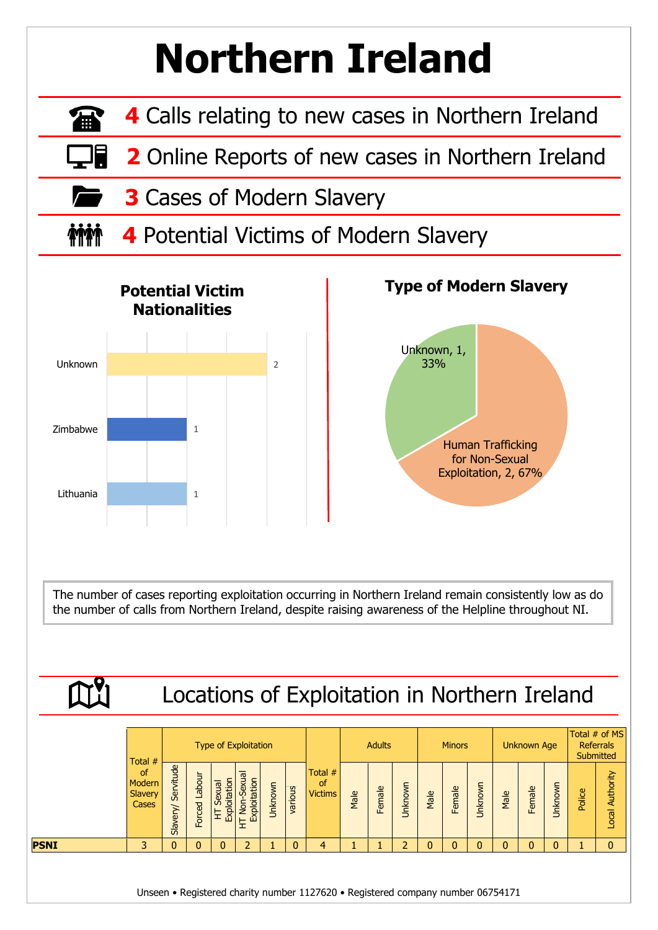